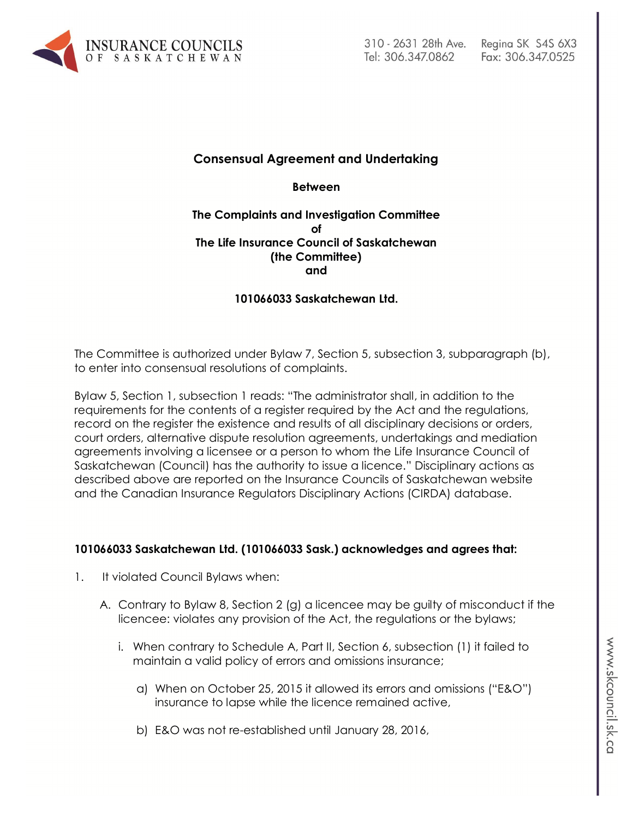

# Fax: 306.347.0525

# **Consensual Agreement and Undertaking**

**Between**

#### **The Complaints and Investigation Committee of The Life Insurance Council of Saskatchewan (the Committee) and**

# **101066033 Saskatchewan Ltd.**

The Committee is authorized under Bylaw 7, Section 5, subsection 3, subparagraph (b), to enter into consensual resolutions of complaints.

Bylaw 5, Section 1, subsection 1 reads: "The administrator shall, in addition to the requirements for the contents of a register required by the Act and the regulations, record on the register the existence and results of all disciplinary decisions or orders, court orders, alternative dispute resolution agreements, undertakings and mediation agreements involving a licensee or a person to whom the Life Insurance Council of Saskatchewan (Council) has the authority to issue a licence." Disciplinary actions as described above are reported on the Insurance Councils of Saskatchewan website and the Canadian Insurance Regulators Disciplinary Actions (CIRDA) database.

#### **101066033 Saskatchewan Ltd. (101066033 Sask.) acknowledges and agrees that:**

- 1. It violated Council Bylaws when:
	- A. Contrary to Bylaw 8, Section 2 (g) a licencee may be guilty of misconduct if the licencee: violates any provision of the Act, the regulations or the bylaws;
		- i. When contrary to Schedule A, Part II, Section 6, subsection (1) it failed to maintain a valid policy of errors and omissions insurance;
			- a) When on October 25, 2015 it allowed its errors and omissions ("E&O") insurance to lapse while the licence remained active,
			- b) E&O was not re-established until January 28, 2016,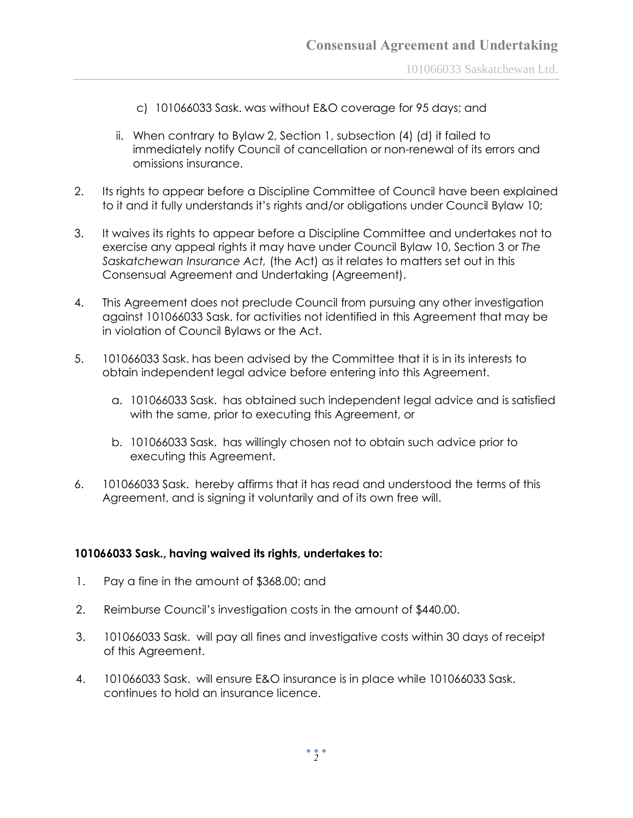- c) 101066033 Sask. was without E&O coverage for 95 days; and
- ii. When contrary to Bylaw 2, Section 1, subsection (4) (d) it failed to immediately notify Council of cancellation or non-renewal of its errors and omissions insurance.
- 2. Its rights to appear before a Discipline Committee of Council have been explained to it and it fully understands it's rights and/or obligations under Council Bylaw 10;
- 3. It waives its rights to appear before a Discipline Committee and undertakes not to exercise any appeal rights it may have under Council Bylaw 10, Section 3 or *The Saskatchewan Insurance Act,* (the Act) as it relates to matters set out in this Consensual Agreement and Undertaking (Agreement).
- 4. This Agreement does not preclude Council from pursuing any other investigation against 101066033 Sask. for activities not identified in this Agreement that may be in violation of Council Bylaws or the Act.
- 5. 101066033 Sask. has been advised by the Committee that it is in its interests to obtain independent legal advice before entering into this Agreement.
	- a. 101066033 Sask. has obtained such independent legal advice and is satisfied with the same, prior to executing this Agreement, or
	- b. 101066033 Sask. has willingly chosen not to obtain such advice prior to executing this Agreement.
- 6. 101066033 Sask. hereby affirms that it has read and understood the terms of this Agreement, and is signing it voluntarily and of its own free will.

## **101066033 Sask., having waived its rights, undertakes to:**

- 1. Pay a fine in the amount of \$368.00; and
- 2. Reimburse Council's investigation costs in the amount of \$440.00.
- 3. 101066033 Sask. will pay all fines and investigative costs within 30 days of receipt of this Agreement.
- 4. 101066033 Sask. will ensure E&O insurance is in place while 101066033 Sask. continues to hold an insurance licence.